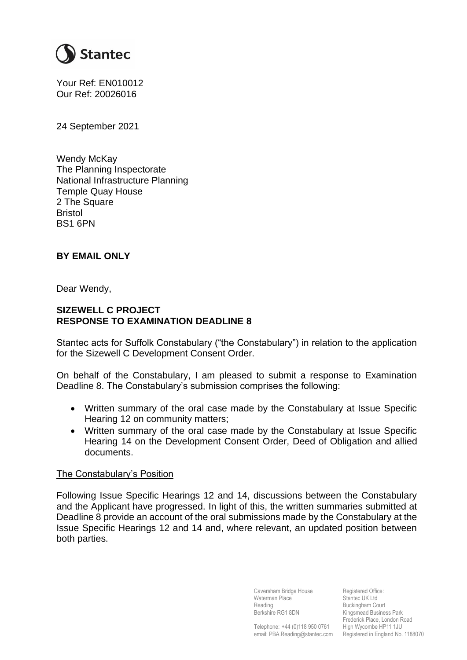

Your Ref: EN010012 Our Ref: 20026016

24 September 2021

Wendy McKay The Planning Inspectorate National Infrastructure Planning Temple Quay House 2 The Square Bristol BS1 6PN

## **BY EMAIL ONLY**

Dear Wendy,

## **SIZEWELL C PROJECT RESPONSE TO EXAMINATION DEADLINE 8**

Stantec acts for Suffolk Constabulary ("the Constabulary") in relation to the application for the Sizewell C Development Consent Order.

On behalf of the Constabulary, I am pleased to submit a response to Examination Deadline 8. The Constabulary's submission comprises the following:

- Written summary of the oral case made by the Constabulary at Issue Specific Hearing 12 on community matters;
- Written summary of the oral case made by the Constabulary at Issue Specific Hearing 14 on the Development Consent Order, Deed of Obligation and allied documents.

## The Constabulary's Position

Following Issue Specific Hearings 12 and 14, discussions between the Constabulary and the Applicant have progressed. In light of this, the written summaries submitted at Deadline 8 provide an account of the oral submissions made by the Constabulary at the Issue Specific Hearings 12 and 14 and, where relevant, an updated position between both parties.

> Caversham Bridge House Waterman Place Reading Berkshire RG1 8DN

Telephone: +44 (0)118 950 0761 High Wycombe HP11 1JU email: PBA.Reading@stantec.com Registered in England No. 1188070 Registered Office: Stantec UK Ltd Buckingham Court Kingsmead Business Park Frederick Place, London Road